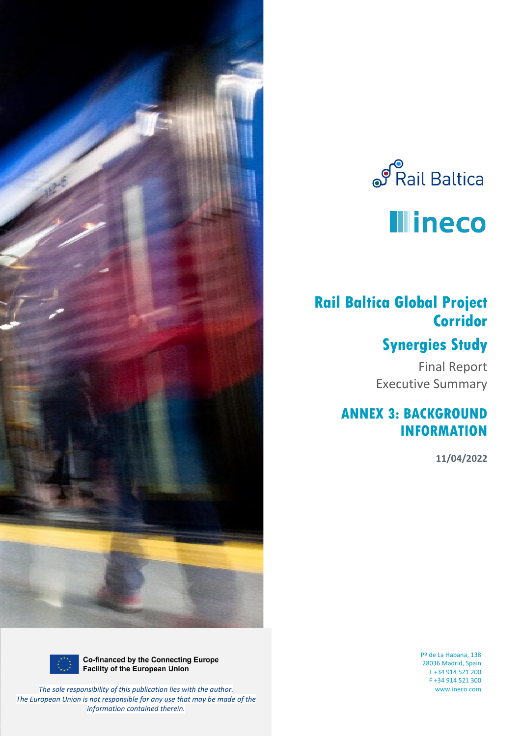



# **Illineco**

# **Rail Baltica Global Project Corridor**

## **Synergies Study**

Final Report Executive Summary

## **ANNEX 3: BACKGROUND INFORMATION**

**11/04/2022**



**Co-financed by the Connecting Europe** Facility of the European Union

*The sole responsibility of this publication lies with the author. The European Union is not responsible for any use that may be made of the information contained therein.*

Pº de La Habana, 138 28036 Madrid, Spain T +34 914 521 200 F +34 914 521 300 www.ineco.com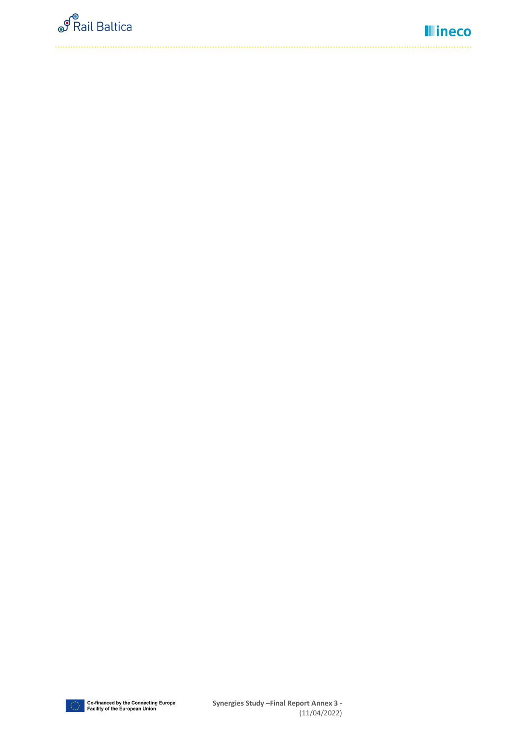

## **Illineco**

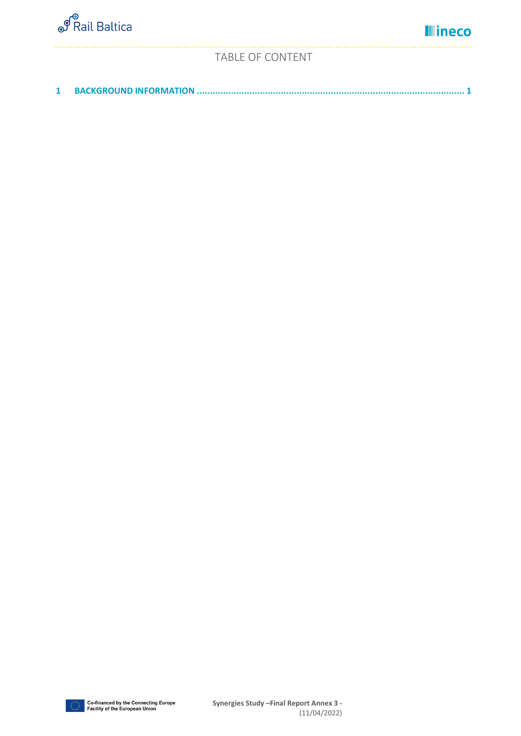

### TABLE OF CONTENT

**Illineco** 

|--|--|--|

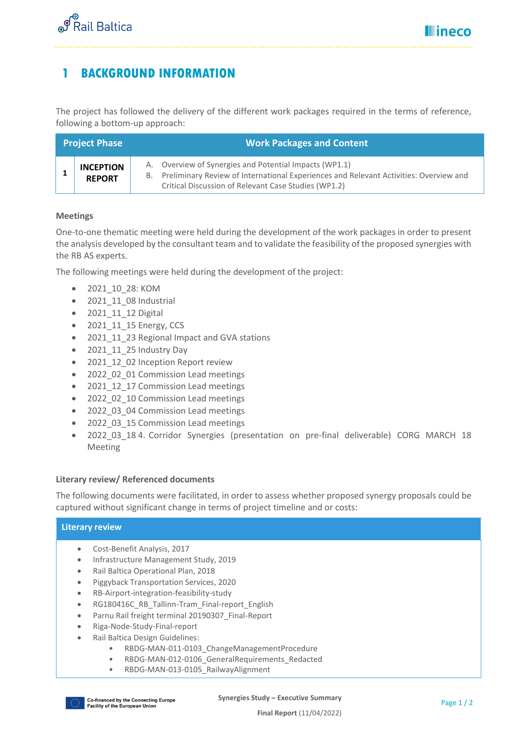## <span id="page-3-0"></span>**1 BACKGROUND INFORMATION**

The project has followed the delivery of the different work packages required in the terms of reference, following a bottom-up approach:

| Project Phase |                                   | <b>Work Packages and Content</b>                                                                                                                                                                                 |
|---------------|-----------------------------------|------------------------------------------------------------------------------------------------------------------------------------------------------------------------------------------------------------------|
|               | <b>INCEPTION</b><br><b>REPORT</b> | Overview of Synergies and Potential Impacts (WP1.1)<br>А.<br>Preliminary Review of International Experiences and Relevant Activities: Overview and<br>B.<br>Critical Discussion of Relevant Case Studies (WP1.2) |

#### **Meetings**

One-to-one thematic meeting were held during the development of the work packages in order to present the analysis developed by the consultant team and to validate the feasibility of the proposed synergies with the RB AS experts.

The following meetings were held during the development of the project:

- 2021\_10\_28: KOM
- 2021\_11\_08 Industrial
- 2021\_11\_12 Digital
- 2021 11 15 Energy, CCS
- 2021\_11\_23 Regional Impact and GVA stations
- 2021 11 25 Industry Day
- 2021 12 02 Inception Report review
- 2022\_02\_01 Commission Lead meetings
- 2021 12 17 Commission Lead meetings
- 2022 02 10 Commission Lead meetings
- 2022 03 04 Commission Lead meetings
- 2022\_03\_15 Commission Lead meetings
- 2022 03 18 4. Corridor Synergies (presentation on pre-final deliverable) CORG MARCH 18 Meeting

#### **Literary review/ Referenced documents**

The following documents were facilitated, in order to assess whether proposed synergy proposals could be captured without significant change in terms of project timeline and or costs:

#### **Literary review**

- Cost-Benefit Analysis, 2017
- Infrastructure Management Study, 2019
- Rail Baltica Operational Plan, 2018
- Piggyback Transportation Services, 2020
- RB-Airport-integration-feasibility-study
- RG180416C\_RB\_Tallinn-Tram\_Final-report\_English
- Parnu Rail freight terminal 20190307\_Final-Report
- Riga-Node-Study-Final-report
	- Rail Baltica Design Guidelines:
		- RBDG-MAN-011-0103\_ChangeManagementProcedure
		- RBDG-MAN-012-0106 GeneralRequirements Redacted
		- RBDG-MAN-013-0105 RailwayAlignment